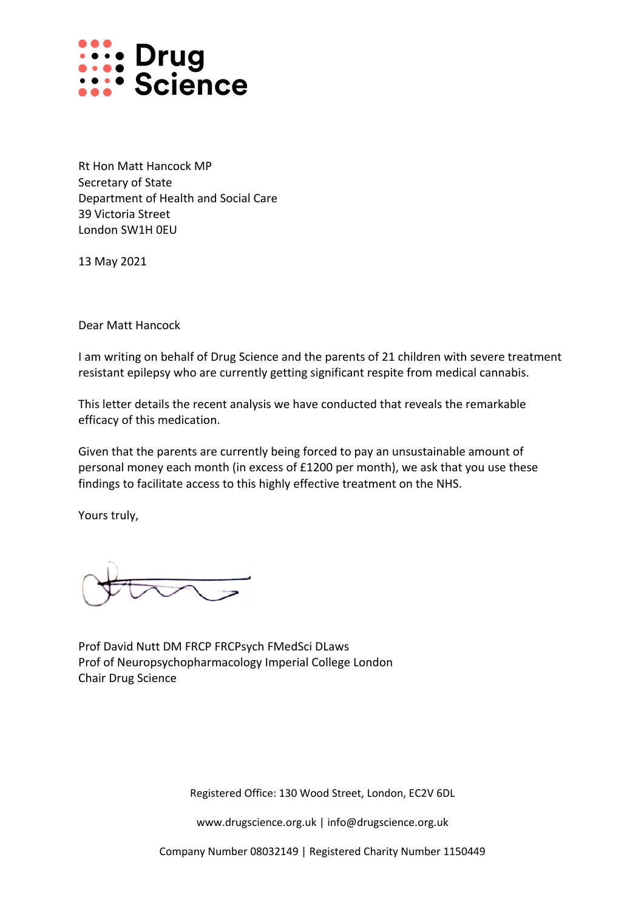

Rt Hon Matt Hancock MP Secretary of State Department of Health and Social Care 39 Victoria Street London SW1H 0EU

13 May 2021

Dear Matt Hancock

I am writing on behalf of Drug Science and the parents of 21 children with severe treatment resistant epilepsy who are currently getting significant respite from medical cannabis.

This letter details the recent analysis we have conducted that reveals the remarkable efficacy of this medication.

Given that the parents are currently being forced to pay an unsustainable amount of personal money each month (in excess of £1200 per month), we ask that you use these findings to facilitate access to this highly effective treatment on the NHS.

Yours truly,

Prof David Nutt DM FRCP FRCPsych FMedSci DLaws Prof of Neuropsychopharmacology Imperial College London Chair Drug Science

Registered Office: 130 Wood Street, London, EC2V 6DL

www.drugscience.org.uk | info@drugscience.org.uk

Company Number 08032149 | Registered Charity Number 1150449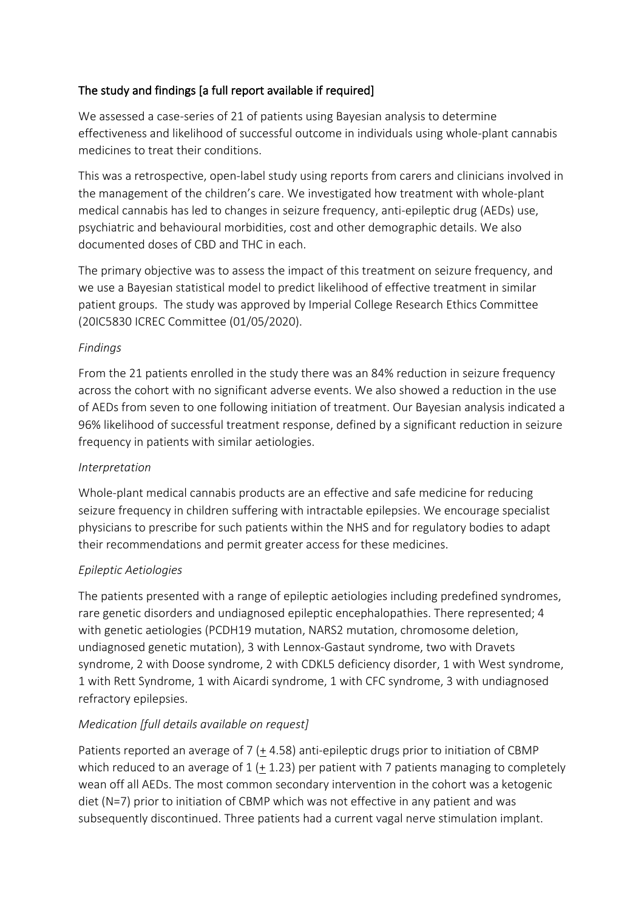## The study and findings [a full report available if required]

We assessed a case-series of 21 of patients using Bayesian analysis to determine effectiveness and likelihood of successful outcome in individuals using whole-plant cannabis medicines to treat their conditions.

This was a retrospective, open-label study using reports from carers and clinicians involved in the management of the children's care. We investigated how treatment with whole-plant medical cannabis has led to changes in seizure frequency, anti-epileptic drug (AEDs) use, psychiatric and behavioural morbidities, cost and other demographic details. We also documented doses of CBD and THC in each.

The primary objective was to assess the impact of this treatment on seizure frequency, and we use a Bayesian statistical model to predict likelihood of effective treatment in similar patient groups. The study was approved by Imperial College Research Ethics Committee (20IC5830 ICREC Committee (01/05/2020).

## *Findings*

From the 21 patients enrolled in the study there was an 84% reduction in seizure frequency across the cohort with no significant adverse events. We also showed a reduction in the use of AEDs from seven to one following initiation of treatment. Our Bayesian analysis indicated a 96% likelihood of successful treatment response, defined by a significant reduction in seizure frequency in patients with similar aetiologies.

## *Interpretation*

Whole-plant medical cannabis products are an effective and safe medicine for reducing seizure frequency in children suffering with intractable epilepsies. We encourage specialist physicians to prescribe for such patients within the NHS and for regulatory bodies to adapt their recommendations and permit greater access for these medicines.

# *Epileptic Aetiologies*

The patients presented with a range of epileptic aetiologies including predefined syndromes, rare genetic disorders and undiagnosed epileptic encephalopathies. There represented; 4 with genetic aetiologies (PCDH19 mutation, NARS2 mutation, chromosome deletion, undiagnosed genetic mutation), 3 with Lennox-Gastaut syndrome, two with Dravets syndrome, 2 with Doose syndrome, 2 with CDKL5 deficiency disorder, 1 with West syndrome, 1 with Rett Syndrome, 1 with Aicardi syndrome, 1 with CFC syndrome, 3 with undiagnosed refractory epilepsies.

# *Medication [full details available on request]*

Patients reported an average of 7 ( $+$  4.58) anti-epileptic drugs prior to initiation of CBMP which reduced to an average of  $1 (+ 1.23)$  per patient with 7 patients managing to completely wean off all AEDs. The most common secondary intervention in the cohort was a ketogenic diet (N=7) prior to initiation of CBMP which was not effective in any patient and was subsequently discontinued. Three patients had a current vagal nerve stimulation implant.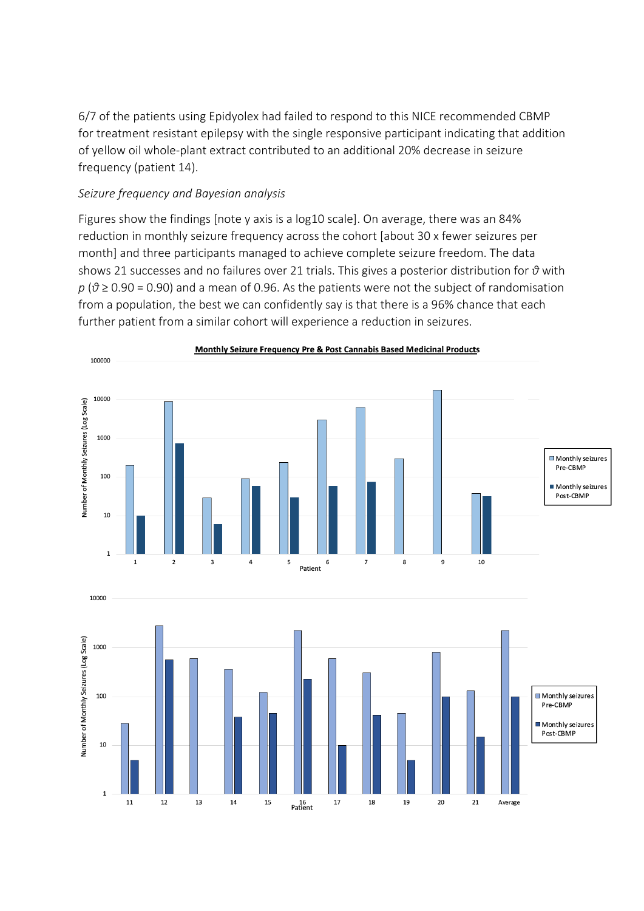6/7 of the patients using Epidyolex had failed to respond to this NICE recommended CBMP for treatment resistant epilepsy with the single responsive participant indicating that addition of yellow oil whole-plant extract contributed to an additional 20% decrease in seizure frequency (patient 14).

#### *Seizure frequency and Bayesian analysis*

Figures show the findings [note y axis is a log10 scale]. On average, there was an 84% reduction in monthly seizure frequency across the cohort [about 30 x fewer seizures per month] and three participants managed to achieve complete seizure freedom. The data shows 21 successes and no failures over 21 trials. This gives a posterior distribution for *θ* with *p* (*θ* ≥ 0.90 = 0.90) and a mean of 0.96. As the patients were not the subject of randomisation from a population, the best we can confidently say is that there is a 96% chance that each further patient from a similar cohort will experience a reduction in seizures.